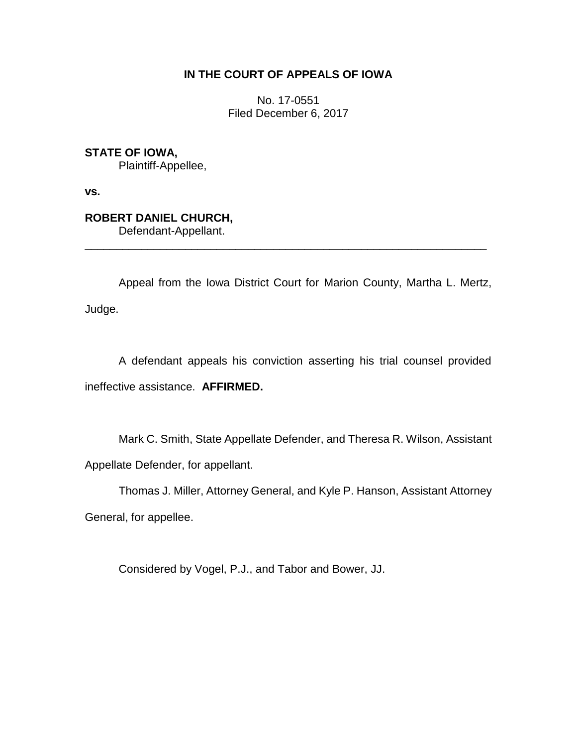## **IN THE COURT OF APPEALS OF IOWA**

No. 17-0551 Filed December 6, 2017

**STATE OF IOWA,**

Plaintiff-Appellee,

**vs.**

## **ROBERT DANIEL CHURCH,**

Defendant-Appellant.

Appeal from the Iowa District Court for Marion County, Martha L. Mertz, Judge.

\_\_\_\_\_\_\_\_\_\_\_\_\_\_\_\_\_\_\_\_\_\_\_\_\_\_\_\_\_\_\_\_\_\_\_\_\_\_\_\_\_\_\_\_\_\_\_\_\_\_\_\_\_\_\_\_\_\_\_\_\_\_\_\_

A defendant appeals his conviction asserting his trial counsel provided ineffective assistance. **AFFIRMED.**

Mark C. Smith, State Appellate Defender, and Theresa R. Wilson, Assistant Appellate Defender, for appellant.

Thomas J. Miller, Attorney General, and Kyle P. Hanson, Assistant Attorney General, for appellee.

Considered by Vogel, P.J., and Tabor and Bower, JJ.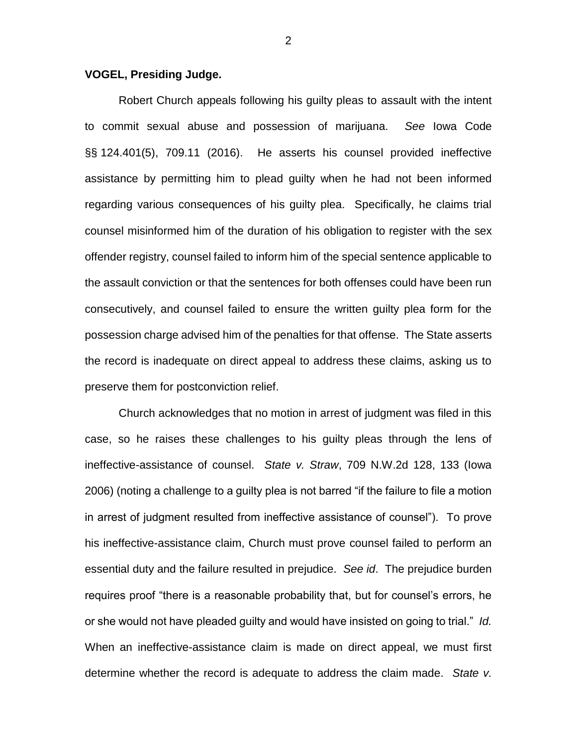## **VOGEL, Presiding Judge.**

Robert Church appeals following his guilty pleas to assault with the intent to commit sexual abuse and possession of marijuana. *See* Iowa Code §§ 124.401(5), 709.11 (2016). He asserts his counsel provided ineffective assistance by permitting him to plead guilty when he had not been informed regarding various consequences of his guilty plea. Specifically, he claims trial counsel misinformed him of the duration of his obligation to register with the sex offender registry, counsel failed to inform him of the special sentence applicable to the assault conviction or that the sentences for both offenses could have been run consecutively, and counsel failed to ensure the written guilty plea form for the possession charge advised him of the penalties for that offense. The State asserts the record is inadequate on direct appeal to address these claims, asking us to preserve them for postconviction relief.

Church acknowledges that no motion in arrest of judgment was filed in this case, so he raises these challenges to his guilty pleas through the lens of ineffective-assistance of counsel. *State v. Straw*, 709 N.W.2d 128, 133 (Iowa 2006) (noting a challenge to a guilty plea is not barred "if the failure to file a motion in arrest of judgment resulted from ineffective assistance of counsel"). To prove his ineffective-assistance claim, Church must prove counsel failed to perform an essential duty and the failure resulted in prejudice. *See id*. The prejudice burden requires proof "there is a reasonable probability that, but for counsel's errors, he or she would not have pleaded guilty and would have insisted on going to trial." *Id.* When an ineffective-assistance claim is made on direct appeal, we must first determine whether the record is adequate to address the claim made. *State v.* 

2